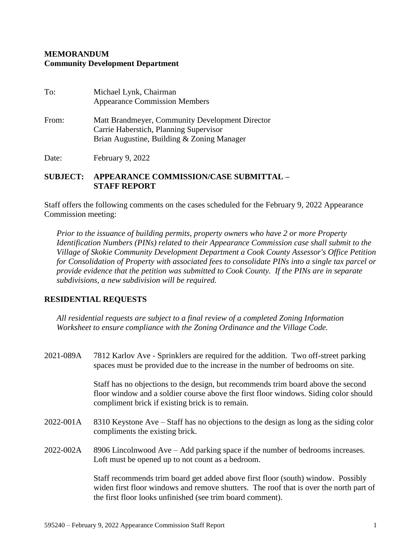## **MEMORANDUM Community Development Department**

| To:   | Michael Lynk, Chairman<br><b>Appearance Commission Members</b>                                                                          |
|-------|-----------------------------------------------------------------------------------------------------------------------------------------|
| From: | Matt Brandmeyer, Community Development Director<br>Carrie Haberstich, Planning Supervisor<br>Brian Augustine, Building & Zoning Manager |
|       |                                                                                                                                         |

Date: February 9, 2022

## **SUBJECT: APPEARANCE COMMISSION/CASE SUBMITTAL – STAFF REPORT**

Staff offers the following comments on the cases scheduled for the February 9, 2022 Appearance Commission meeting:

*Prior to the issuance of building permits, property owners who have 2 or more Property Identification Numbers (PINs) related to their Appearance Commission case shall submit to the Village of Skokie Community Development Department a Cook County Assessor's Office Petition for Consolidation of Property with associated fees to consolidate PINs into a single tax parcel or provide evidence that the petition was submitted to Cook County. If the PINs are in separate subdivisions, a new subdivision will be required.*

## **RESIDENTIAL REQUESTS**

*All residential requests are subject to a final review of a completed Zoning Information Worksheet to ensure compliance with the Zoning Ordinance and the Village Code.*

| 2021-089A | 7812 Karlov Ave - Sprinklers are required for the addition. Two off-street parking<br>spaces must be provided due to the increase in the number of bedrooms on site.                                                                     |
|-----------|------------------------------------------------------------------------------------------------------------------------------------------------------------------------------------------------------------------------------------------|
|           | Staff has no objections to the design, but recommends trim board above the second<br>floor window and a soldier course above the first floor windows. Siding color should<br>compliment brick if existing brick is to remain.            |
| 2022-001A | 8310 Keystone Ave – Staff has no objections to the design as long as the siding color<br>compliments the existing brick.                                                                                                                 |
| 2022-002A | 8906 Lincolnwood Ave – Add parking space if the number of bedrooms increases.<br>Loft must be opened up to not count as a bedroom.                                                                                                       |
|           | Staff recommends trim board get added above first floor (south) window. Possibly<br>widen first floor windows and remove shutters. The roof that is over the north part of<br>the first floor looks unfinished (see trim board comment). |